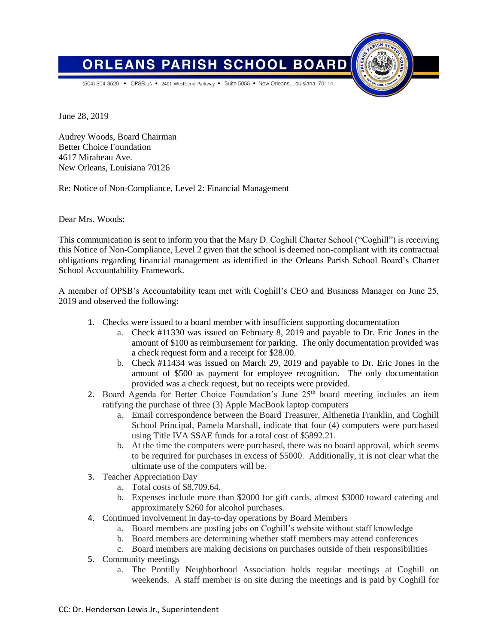

(504) 304-3520 • OPSB.us • 2401 Westbend Parkway • Suite 5055 • New Orleans, Louisiana 70114

**PARISH** 

June 28, 2019

Audrey Woods, Board Chairman Better Choice Foundation 4617 Mirabeau Ave. New Orleans, Louisiana 70126

**ORLEANS** 

Re: Notice of Non-Compliance, Level 2: Financial Management

Dear Mrs. Woods:

This communication is sent to inform you that the Mary D. Coghill Charter School ("Coghill") is receiving this Notice of Non-Compliance, Level 2 given that the school is deemed non-compliant with its contractual obligations regarding financial management as identified in the Orleans Parish School Board's Charter School Accountability Framework.

**SCHOOL** 

A member of OPSB's Accountability team met with Coghill's CEO and Business Manager on June 25, 2019 and observed the following:

- 1. Checks were issued to a board member with insufficient supporting documentation
	- a. Check #11330 was issued on February 8, 2019 and payable to Dr. Eric Jones in the amount of \$100 as reimbursement for parking. The only documentation provided was a check request form and a receipt for \$28.00.
	- b. Check #11434 was issued on March 29, 2019 and payable to Dr. Eric Jones in the amount of \$500 as payment for employee recognition. The only documentation provided was a check request, but no receipts were provided.
- 2. Board Agenda for Better Choice Foundation's June  $25<sup>th</sup>$  board meeting includes an item ratifying the purchase of three (3) Apple MacBook laptop computers
	- a. Email correspondence between the Board Treasurer, Althenetia Franklin, and Coghill School Principal, Pamela Marshall, indicate that four (4) computers were purchased using Title IVA SSAE funds for a total cost of \$5892.21.
	- b. At the time the computers were purchased, there was no board approval, which seems to be required for purchases in excess of \$5000. Additionally, it is not clear what the ultimate use of the computers will be.
- 3. Teacher Appreciation Day
	- a. Total costs of \$8,709.64.
	- b. Expenses include more than \$2000 for gift cards, almost \$3000 toward catering and approximately \$260 for alcohol purchases.
- 4. Continued involvement in day-to-day operations by Board Members
	- a. Board members are posting jobs on Coghill's website without staff knowledge
	- b. Board members are determining whether staff members may attend conferences
	- c. Board members are making decisions on purchases outside of their responsibilities
- 5. Community meetings
	- a. The Pontilly Neighborhood Association holds regular meetings at Coghill on weekends. A staff member is on site during the meetings and is paid by Coghill for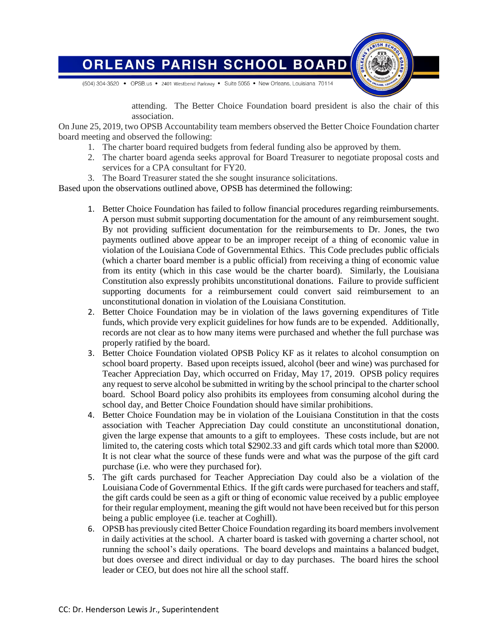

attending. The Better Choice Foundation board president is also the chair of this association.

On June 25, 2019, two OPSB Accountability team members observed the Better Choice Foundation charter board meeting and observed the following:

- 1. The charter board required budgets from federal funding also be approved by them.
- 2. The charter board agenda seeks approval for Board Treasurer to negotiate proposal costs and services for a CPA consultant for FY20.
- 3. The Board Treasurer stated the she sought insurance solicitations.

Based upon the observations outlined above, OPSB has determined the following:

- 1. Better Choice Foundation has failed to follow financial procedures regarding reimbursements. A person must submit supporting documentation for the amount of any reimbursement sought. By not providing sufficient documentation for the reimbursements to Dr. Jones, the two payments outlined above appear to be an improper receipt of a thing of economic value in violation of the Louisiana Code of Governmental Ethics. This Code precludes public officials (which a charter board member is a public official) from receiving a thing of economic value from its entity (which in this case would be the charter board). Similarly, the Louisiana Constitution also expressly prohibits unconstitutional donations. Failure to provide sufficient supporting documents for a reimbursement could convert said reimbursement to an unconstitutional donation in violation of the Louisiana Constitution.
- 2. Better Choice Foundation may be in violation of the laws governing expenditures of Title funds, which provide very explicit guidelines for how funds are to be expended. Additionally, records are not clear as to how many items were purchased and whether the full purchase was properly ratified by the board.
- 3. Better Choice Foundation violated OPSB Policy KF as it relates to alcohol consumption on school board property. Based upon receipts issued, alcohol (beer and wine) was purchased for Teacher Appreciation Day, which occurred on Friday, May 17, 2019. OPSB policy requires any request to serve alcohol be submitted in writing by the school principal to the charter school board. School Board policy also prohibits its employees from consuming alcohol during the school day, and Better Choice Foundation should have similar prohibitions.
- 4. Better Choice Foundation may be in violation of the Louisiana Constitution in that the costs association with Teacher Appreciation Day could constitute an unconstitutional donation, given the large expense that amounts to a gift to employees. These costs include, but are not limited to, the catering costs which total \$2902.33 and gift cards which total more than \$2000. It is not clear what the source of these funds were and what was the purpose of the gift card purchase (i.e. who were they purchased for).
- 5. The gift cards purchased for Teacher Appreciation Day could also be a violation of the Louisiana Code of Governmental Ethics. If the gift cards were purchased for teachers and staff, the gift cards could be seen as a gift or thing of economic value received by a public employee for their regular employment, meaning the gift would not have been received but for this person being a public employee (i.e. teacher at Coghill).
- 6. OPSB has previously cited Better Choice Foundation regarding its board members involvement in daily activities at the school. A charter board is tasked with governing a charter school, not running the school's daily operations. The board develops and maintains a balanced budget, but does oversee and direct individual or day to day purchases. The board hires the school leader or CEO, but does not hire all the school staff.